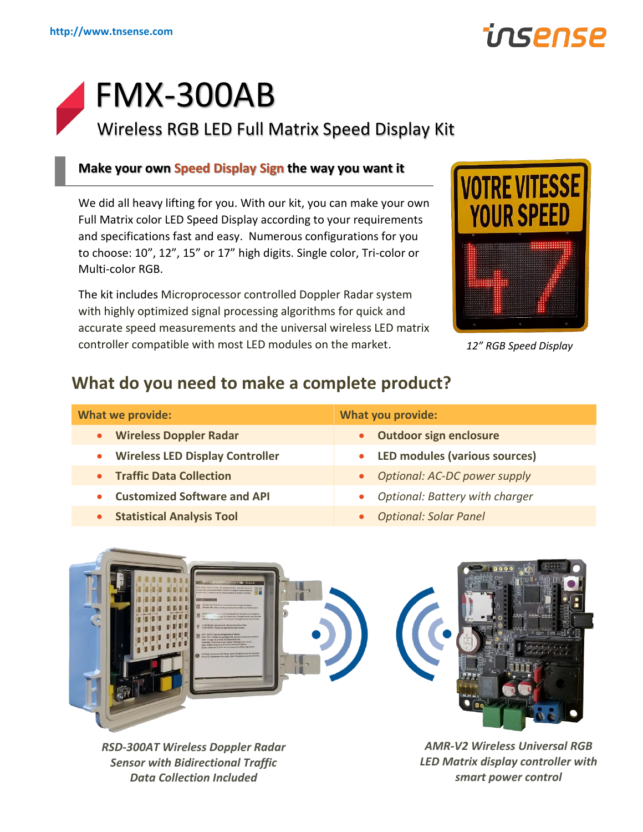# insense

# FMX-300AB

Wireless RGB LED Full Matrix Speed Display Kit

### **Make your own Speed Display Sign the way you want it**

We did all heavy lifting for you. With our kit, you can make your own Full Matrix color LED Speed Display according to your requirements and specifications fast and easy. Numerous configurations for you to choose: 10", 12", 15" or 17" high digits. Single color, Tri-color or Multi-color RGB.

The kit includes Microprocessor controlled Doppler Radar system with highly optimized signal processing algorithms for quick and accurate speed measurements and the universal wireless LED matrix controller compatible with most LED modules on the market.



```
12" RGB Speed Display
```
# **What do you need to make a complete product?**

| <b>What we provide:</b>                    | <b>What you provide:</b>                          |
|--------------------------------------------|---------------------------------------------------|
| <b>Wireless Doppler Radar</b><br>$\bullet$ | • Outdoor sign enclosure                          |
| <b>Wireless LED Display Controller</b>     | <b>LED modules (various sources)</b><br>$\bullet$ |
| • Traffic Data Collection                  | • Optional: AC-DC power supply                    |
| <b>Customized Software and API</b>         | <b>Optional: Battery with charger</b>             |
| <b>Statistical Analysis Tool</b>           | <b>Optional: Solar Panel</b>                      |



*RSD-300AT Wireless Doppler Radar Sensor with Bidirectional Traffic Data Collection Included*

*AMR-V2 Wireless Universal RGB LED Matrix display controller with smart power control*